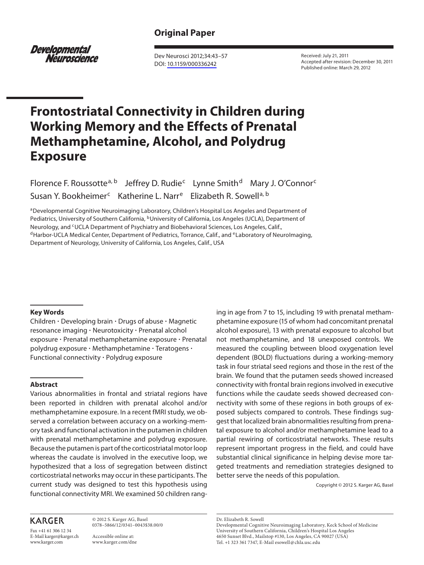# **Original Paper**

**Developmental** Néuroscience

 Dev Neurosci 2012;34:43–57 DOI: [10.1159/000336242](http://dx.doi.org/10.1159%2F000336242)

 Received: July 21, 2011 Accepted after revision: December 30, 2011 Published online: March 29, 2012

# **Frontostriatal Connectivity in Children during Working Memory and the Effects of Prenatal Methamphetamine, Alcohol, and Polydrug Exposure**

Florence F. Roussotte<sup>a, b</sup> Jeffrey D. Rudie<sup>c</sup> Lynne Smith<sup>d</sup> Mary J. O'Connor<sup>c</sup> Susan Y. Bookheimer<sup>c</sup> Katherine L. Narr<sup>e</sup> Elizabeth R. Sowell<sup>a, b</sup>

a Developmental Cognitive Neuroimaging Laboratory, Children's Hospital Los Angeles and Department of Pediatrics, University of Southern California, <sup>b</sup> University of California, Los Angeles (UCLA), Department of Neurology, and <sup>c</sup>UCLA Department of Psychiatry and Biobehavioral Sciences, Los Angeles, Calif., <sup>d</sup> Harbor-UCLA Medical Center, Department of Pediatrics, Torrance, Calif., and <sup>e</sup> Laboratory of NeuroImaging, Department of Neurology, University of California, Los Angeles, Calif., USA

## **Key Words**

Children · Developing brain · Drugs of abuse · Magnetic resonance imaging - Neurotoxicity - Prenatal alcohol exposure - Prenatal methamphetamine exposure - Prenatal polydrug exposure - Methamphetamine - Teratogens - Functional connectivity - Polydrug exposure

## **Abstract**

 Various abnormalities in frontal and striatal regions have been reported in children with prenatal alcohol and/or methamphetamine exposure. In a recent fMRI study, we observed a correlation between accuracy on a working-memory task and functional activation in the putamen in children with prenatal methamphetamine and polydrug exposure. Because the putamen is part of the corticostriatal motor loop whereas the caudate is involved in the executive loop, we hypothesized that a loss of segregation between distinct corticostriatal networks may occur in these participants. The current study was designed to test this hypothesis using functional connectivity MRI. We examined 50 children rang-

**KARGER** 

Fax +41 61 306 12 34 E-Mail karger@karger.ch www.karger.com

0378–5866/12/0341–0043\$38.00/0

© 2012 S. Karger AG, Basel

 Accessible online at: www.karger.com/dne ing in age from 7 to 15, including 19 with prenatal methamphetamine exposure (15 of whom had concomitant prenatal alcohol exposure), 13 with prenatal exposure to alcohol but not methamphetamine, and 18 unexposed controls. We measured the coupling between blood oxygenation level dependent (BOLD) fluctuations during a working-memory task in four striatal seed regions and those in the rest of the brain. We found that the putamen seeds showed increased connectivity with frontal brain regions involved in executive functions while the caudate seeds showed decreased connectivity with some of these regions in both groups of exposed subjects compared to controls. These findings suggest that localized brain abnormalities resulting from prenatal exposure to alcohol and/or methamphetamine lead to a partial rewiring of corticostriatal networks. These results represent important progress in the field, and could have substantial clinical significance in helping devise more targeted treatments and remediation strategies designed to better serve the needs of this population.

Copyright © 2012 S. Karger AG, Basel

Dr. Elizabeth R. Sowell

Developmental Cognitive Neuroimaging Laboratory, Keck School of Medicine University of Southern California, Children's Hospital Los Angeles 4650 Sunset Blvd., Mailstop #130, Los Angeles, CA 90027 (USA) Tel. +1 323 361 7347, E-Mail esowell @ chla.usc.edu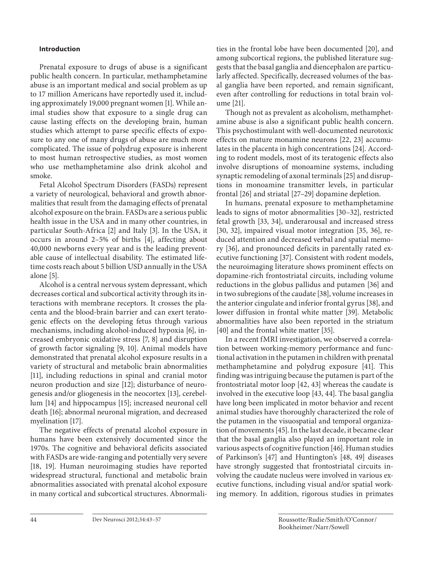## **Introduction**

 Prenatal exposure to drugs of abuse is a significant public health concern. In particular, methamphetamine abuse is an important medical and social problem as up to 17 million Americans have reportedly used it, including approximately 19,000 pregnant women [1]. While animal studies show that exposure to a single drug can cause lasting effects on the developing brain, human studies which attempt to parse specific effects of exposure to any one of many drugs of abuse are much more complicated. The issue of polydrug exposure is inherent to most human retrospective studies, as most women who use methamphetamine also drink alcohol and smoke.

 Fetal Alcohol Spectrum Disorders (FASDs) represent a variety of neurological, behavioral and growth abnormalities that result from the damaging effects of prenatal alcohol exposure on the brain. FASDs are a serious public health issue in the USA and in many other countries, in particular South-Africa [2] and Italy [3]. In the USA, it occurs in around 2-5% of births [4], affecting about 40,000 newborns every year and is the leading preventable cause of intellectual disability. The estimated lifetime costs reach about 5 billion USD annually in the USA alone [5].

 Alcohol is a central nervous system depressant, which decreases cortical and subcortical activity through its interactions with membrane receptors. It crosses the placenta and the blood-brain barrier and can exert teratogenic effects on the developing fetus through various mechanisms, including alcohol-induced hypoxia [6], increased embryonic oxidative stress [7, 8] and disruption of growth factor signaling [9, 10]. Animal models have demonstrated that prenatal alcohol exposure results in a variety of structural and metabolic brain abnormalities [11], including reductions in spinal and cranial motor neuron production and size [12]; disturbance of neurogenesis and/or gliogenesis in the neocortex [13], cerebellum [14] and hippocampus [15]; increased neuronal cell death [16]; abnormal neuronal migration, and decreased myelination [17].

 The negative effects of prenatal alcohol exposure in humans have been extensively documented since the 1970s. The cognitive and behavioral deficits associated with FASDs are wide-ranging and potentially very severe [18, 19]. Human neuroimaging studies have reported widespread structural, functional and metabolic brain abnormalities associated with prenatal alcohol exposure in many cortical and subcortical structures. Abnormalities in the frontal lobe have been documented [20], and among subcortical regions, the published literature suggests that the basal ganglia and diencephalon are particularly affected. Specifically, decreased volumes of the basal ganglia have been reported, and remain significant, even after controlling for reductions in total brain volume [21].

 Though not as prevalent as alcoholism, methamphetamine abuse is also a significant public health concern. This psychostimulant with well-documented neurotoxic effects on mature monamine neurons [22, 23] accumulates in the placenta in high concentrations [24] . According to rodent models, most of its teratogenic effects also involve disruptions of monoamine systems, including synaptic remodeling of axonal terminals [25] and disruptions in monoamine transmitter levels, in particular frontal [26] and striatal [27–29] dopamine depletion.

 In humans, prenatal exposure to methamphetamine leads to signs of motor abnormalities [30–32], restricted fetal growth [33, 34], underarousal and increased stress [30, 32], impaired visual motor integration [35, 36], reduced attention and decreased verbal and spatial memory [36], and pronounced deficits in parentally rated executive functioning [37]. Consistent with rodent models, the neuroimaging literature shows prominent effects on dopamine-rich frontostriatal circuits, including volume reductions in the globus pallidus and putamen [36] and in two subregions of the caudate [38], volume increases in the anterior cingulate and inferior frontal gyrus [38], and lower diffusion in frontal white matter [39]. Metabolic abnormalities have also been reported in the striatum [40] and the frontal white matter [35].

 In a recent fMRI investigation, we observed a correlation between working-memory performance and functional activation in the putamen in children with prenatal methamphetamine and polydrug exposure [41]. This finding was intriguing because the putamen is part of the frontostriatal motor loop [42, 43] whereas the caudate is involved in the executive loop [43, 44] . The basal ganglia have long been implicated in motor behavior and recent animal studies have thoroughly characterized the role of the putamen in the visuospatial and temporal organization of movements [45]. In the last decade, it became clear that the basal ganglia also played an important role in various aspects of cognitive function [46] . Human studies of Parkinson's [47] and Huntington's [48, 49] diseases have strongly suggested that frontostriatal circuits involving the caudate nucleus were involved in various executive functions, including visual and/or spatial working memory. In addition, rigorous studies in primates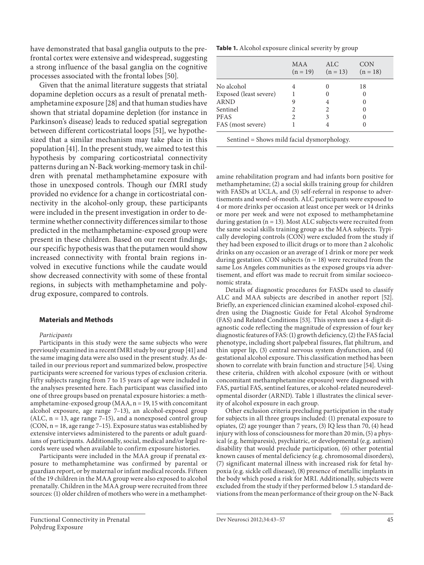have demonstrated that basal ganglia outputs to the prefrontal cortex were extensive and widespread, suggesting a strong influence of the basal ganglia on the cognitive processes associated with the frontal lobes [50] .

 Given that the animal literature suggests that striatal dopamine depletion occurs as a result of prenatal methamphetamine exposure [28] and that human studies have shown that striatal dopamine depletion (for instance in Parkinson's disease) leads to reduced spatial segregation between different corticostriatal loops [51], we hypothesized that a similar mechanism may take place in this population [41] . In the present study, we aimed to test this hypothesis by comparing corticostriatal connectivity patterns during an N-Back working-memory task in children with prenatal methamphetamine exposure with those in unexposed controls. Though our fMRI study provided no evidence for a change in corticostriatal connectivity in the alcohol-only group, these participants were included in the present investigation in order to determine whether connectivity differences similar to those predicted in the methamphetamine-exposed group were present in these children. Based on our recent findings, our specific hypothesis was that the putamen would show increased connectivity with frontal brain regions involved in executive functions while the caudate would show decreased connectivity with some of these frontal regions, in subjects with methamphetamine and polydrug exposure, compared to controls.

## **Materials and Methods**

#### *Participants*

 Participants in this study were the same subjects who were previously examined in a recent fMRI study by our group [41] and the same imaging data were also used in the present study. As detailed in our previous report and summarized below, prospective participants were screened for various types of exclusion criteria. Fifty subjects ranging from 7 to 15 years of age were included in the analyses presented here. Each participant was classified into one of three groups based on prenatal exposure histories: a methamphetamine-exposed group (MAA, n = 19, 15 with concomitant alcohol exposure, age range 7–13), an alcohol-exposed group (ALC,  $n = 13$ , age range 7–15), and a nonexposed control group (CON, n = 18, age range 7–15). Exposure status was established by extensive interviews administered to the parents or adult guardians of participants. Additionally, social, medical and/or legal records were used when available to confirm exposure histories.

 Participants were included in the MAA group if prenatal exposure to methamphetamine was confirmed by parental or guardian report, or by maternal or infant medical records. Fifteen of the 19 children in the MAA group were also exposed to alcohol prenatally. Children in the MAA group were recruited from three sources: (1) older children of mothers who were in a methamphet-

| Table 1. Alcohol exposure clinical severity by group |  |  |  |  |  |
|------------------------------------------------------|--|--|--|--|--|
|------------------------------------------------------|--|--|--|--|--|

|                        | MAA | ALC.<br>$(n = 19)$ $(n = 13)$ | CON<br>$(n = 18)$ |
|------------------------|-----|-------------------------------|-------------------|
| No alcohol             |     |                               | 18                |
| Exposed (least severe) |     |                               |                   |
| <b>ARND</b>            | 9   |                               |                   |
| Sentinel               |     |                               |                   |
| <b>PFAS</b>            |     |                               |                   |
| FAS (most severe)      |     |                               |                   |

Sentinel = Shows mild facial dysmorphology.

amine rehabilitation program and had infants born positive for methamphetamine; (2) a social skills training group for children with FASDs at UCLA, and (3) self-referral in response to advertisements and word-of-mouth. ALC participants were exposed to 4 or more drinks per occasion at least once per week or 14 drinks or more per week and were not exposed to methamphetamine during gestation ( $n = 13$ ). Most ALC subjects were recruited from the same social skills training group as the MAA subjects. Typically developing controls (CON) were excluded from the study if they had been exposed to illicit drugs or to more than 2 alcoholic drinks on any occasion or an average of 1 drink or more per week during gestation. CON subjects  $(n = 18)$  were recruited from the same Los Angeles communities as the exposed groups via advertisement, and effort was made to recruit from similar socioeconomic strata.

 Details of diagnostic procedures for FASDs used to classify ALC and MAA subjects are described in another report [52]. Briefly, an experienced clinician examined alcohol-exposed children using the Diagnostic Guide for Fetal Alcohol Syndrome (FAS) and Related Conditions [53] . This system uses a 4-digit diagnostic code reflecting the magnitude of expression of four key diagnostic features of FAS: (1) growth deficiency, (2) the FAS facial phenotype, including short palpebral fissures, flat philtrum, and thin upper lip, (3) central nervous system dysfunction, and (4) gestational alcohol exposure. This classification method has been shown to correlate with brain function and structure [54]. Using these criteria, children with alcohol exposure (with or without concomitant methamphetamine exposure) were diagnosed with FAS, partial FAS, sentinel features, or alcohol-related neurodevelopmental disorder (ARND). Table 1 illustrates the clinical severity of alcohol exposure in each group.

 Other exclusion criteria precluding participation in the study for subjects in all three groups included: (1) prenatal exposure to opiates, (2) age younger than 7 years, (3) IQ less than 70, (4) head injury with loss of consciousness for more than 20 min, (5) a physical (e.g. hemiparesis), psychiatric, or developmental (e.g. autism) disability that would preclude participation, (6) other potential known causes of mental deficiency (e.g. chromosomal disorders), (7) significant maternal illness with increased risk for fetal hypoxia (e.g. sickle cell disease), (8) presence of metallic implants in the body which posed a risk for MRI. Additionally, subjects were excluded from the study if they performed below 1.5 standard deviations from the mean performance of their group on the N-Back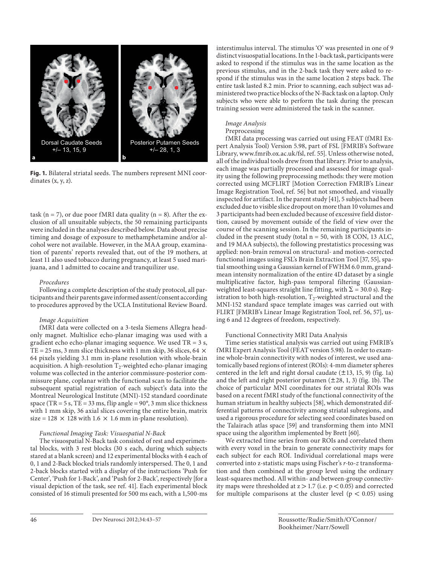

**Fig. 1.** Bilateral striatal seeds. The numbers represent MNI coordinates (x, y, z).

task (n = 7), or due poor fMRI data quality (n = 8). After the exclusion of all unsuitable subjects, the 50 remaining participants were included in the analyses described below. Data about precise timing and dosage of exposure to methamphetamine and/or alcohol were not available. However, in the MAA group, examination of parents' reports revealed that, out of the 19 mothers, at least 11 also used tobacco during pregnancy, at least 5 used marijuana, and 1 admitted to cocaine and tranquilizer use.

#### *Procedures*

 Following a complete description of the study protocol, all participants and their parents gave informed assent/consent according to procedures approved by the UCLA Institutional Review Board.

#### *Image Acquisition*

 fMRI data were collected on a 3-tesla Siemens Allegra headonly magnet. Multislice echo-planar imaging was used with a gradient echo echo-planar imaging sequence. We used  $TR = 3$  s, TE = 25 ms, 3 mm slice thickness with 1 mm skip, 36 slices, 64  $\times$ 64 pixels yielding 3.1 mm in-plane resolution with whole-brain acquisition. A high-resolution  $T_2$ -weighted echo-planar imaging volume was collected in the anterior commissure-posterior commissure plane, coplanar with the functional scan to facilitate the subsequent spatial registration of each subject's data into the Montreal Neurological Institute (MNI)-152 standard coordinate space (TR =  $5 \text{ s}$ , TE =  $33 \text{ ms}$ , flip angle =  $90^{\circ}$ ,  $3 \text{ mm}$  slice thickness with 1 mm skip, 36 axial slices covering the entire brain, matrix size =  $128 \times 128$  with 1.6  $\times$  1.6 mm in-plane resolution).

#### *Functional Imaging Task: Visuospatial N-Back*

 The visuospatial N-Back task consisted of rest and experimental blocks, with 3 rest blocks (30 s each, during which subjects stared at a blank screen) and 12 experimental blocks with 4 each of 0, 1 and 2-Back blocked trials randomly interspersed. The 0, 1 and 2-back blocks started with a display of the instructions 'Push for Center', 'Push for 1-Back', and 'Push for 2-Back', respectively [for a visual depiction of the task, see ref. 41]. Each experimental block consisted of 16 stimuli presented for 500 ms each, with a 1,500-ms

interstimulus interval. The stimulus 'O' was presented in one of 9 distinct visuospatial locations. In the 1-back task, participants were asked to respond if the stimulus was in the same location as the previous stimulus, and in the 2-back task they were asked to respond if the stimulus was in the same location 2 steps back. The entire task lasted 8.2 min. Prior to scanning, each subject was administered two practice blocks of the N-Back task on a laptop. Only subjects who were able to perform the task during the prescan training session were administered the task in the scanner.

#### *Image Analysis*

#### Preprocessing

 fMRI data processing was carried out using FEAT (fMRI Expert Analysis Tool) Version 5.98, part of FSL [FMRIB's Software Library, www.fmrib.ox.ac.uk/fsl, ref. 55]. Unless otherwise noted, all of the individual tools drew from that library. Prior to analysis, each image was partially processed and assessed for image quality using the following preprocessing methods: they were motion corrected using MCFLIRT [Motion Correction FMRIB's Linear Image Registration Tool, ref. 56] but not smoothed, and visually inspected for artifact. In the parent study [41], 5 subjects had been excluded due to visible slice dropout on more than 10 volumes and 3 participants had been excluded because of excessive field distortion, caused by movement outside of the field of view over the course of the scanning session. In the remaining participants included in the present study (total  $n = 50$ , with 18 CON, 13 ALC, and 19 MAA subjects), the following prestatistics processing was applied: non-brain removal on structural- and motion-corrected functional images using FSL's Brain Extraction Tool [37, 55] , spatial smoothing using a Gaussian kernel of FWHM 6.0 mm, grandmean intensity normalization of the entire 4D dataset by a single multiplicative factor, high-pass temporal filtering (Gaussianweighted least-squares straight line fitting, with  $\Sigma$  = 30.0 s). Registration to both high-resolution,  $T_2$ -weighted structural and the MNI-152 standard space template images was carried out with FLIRT [FMRIB's Linear Image Registration Tool, ref. 56, 57], using 6 and 12 degrees of freedom, respectively.

#### Functional Connectivity MRI Data Analysis

 Time series statistical analysis was carried out using FMRIB's fMRI Expert Analysis Tool (FEAT version 5.98). In order to examine whole-brain connectivity with nodes of interest, we used anatomically based regions of interest (ROIs): 4-mm diameter spheres centered in the left and right dorsal caudate  $(\pm 13, 15, 9)$  (fig. 1a) and the left and right posterior putamen  $(\pm 28, 1, 3)$  (fig. 1b). The choice of particular MNI coordinates for our striatal ROIs was based on a recent fMRI study of the functional connectivity of the human striatum in healthy subjects [58], which demonstrated differential patterns of connectivity among striatal subregions, and used a rigorous procedure for selecting seed coordinates based on the Talairach atlas space [59] and transforming them into MNI space using the algorithm implemented by Brett [60] .

 We extracted time series from our ROIs and correlated them with every voxel in the brain to generate connectivity maps for each subject for each ROI. Individual correlational maps were converted into z-statistic maps using Fischer's *r-* to- *z* transformation and then combined at the group level using the ordinary least-squares method. All within- and between-group connectivity maps were thresholded at  $z > 1.7$  (i.e.  $p < 0.05$ ) and corrected for multiple comparisons at the cluster level ( $p < 0.05$ ) using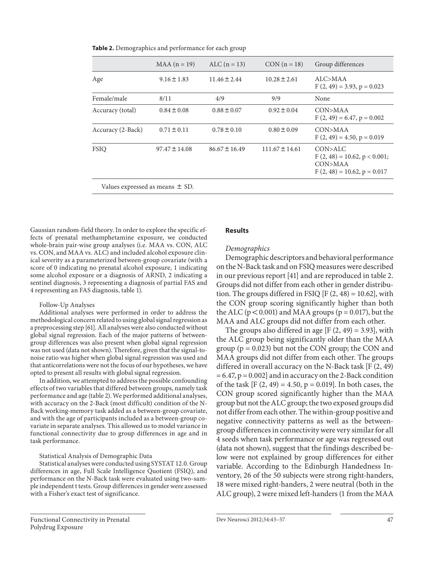|                                     | $MAA (n = 19)$    | $ALC (n = 13)$    | $CON (n = 18)$     | Group differences                                                                             |
|-------------------------------------|-------------------|-------------------|--------------------|-----------------------------------------------------------------------------------------------|
| Age                                 | $9.16 \pm 1.83$   | $11.46 \pm 2.44$  | $10.28 \pm 2.61$   | ALC>MAA<br>$F(2, 49) = 3.93, p = 0.023$                                                       |
| Female/male                         | 8/11              | 4/9               | 9/9                | None                                                                                          |
| Accuracy (total)                    | $0.84 \pm 0.08$   | $0.88 \pm 0.07$   | $0.92 \pm 0.04$    | CON>MAA<br>$F(2, 49) = 6.47, p = 0.002$                                                       |
| Accuracy (2-Back)                   | $0.71 \pm 0.11$   | $0.78 \pm 0.10$   | $0.80 \pm 0.09$    | CON>MAA<br>$F(2, 49) = 4.50, p = 0.019$                                                       |
| <b>FSIO</b>                         | $97.47 \pm 14.08$ | $86.67 \pm 16.49$ | $111.67 \pm 14.61$ | CON> ALC<br>$F(2, 48) = 10.62$ , $p < 0.001$ ;<br>CON>MAA<br>$F(2, 48) = 10.62$ , $p = 0.017$ |
| Values expressed as means $\pm$ SD. |                   |                   |                    |                                                                                               |

**Table 2.** Demographics and performance for each group

Gaussian random-field theory. In order to explore the specific effects of prenatal methamphetamine exposure, we conducted whole-brain pair-wise group analyses (i.e. MAA vs. CON, ALC vs. CON, and MAA vs. ALC) and included alcohol exposure clinical severity as a parameterized between-group covariate (with a score of 0 indicating no prenatal alcohol exposure, 1 indicating some alcohol exposure or a diagnosis of ARND, 2 indicating a sentinel diagnosis, 3 representing a diagnosis of partial FAS and 4 representing an FAS diagnosis, table 1).

## Follow-Up Analyses

 Additional analyses were performed in order to address the methodological concern related to using global signal regression as a preprocessing step [61]. All analyses were also conducted without global signal regression. Each of the major patterns of betweengroup differences was also present when global signal regression was not used (data not shown). Therefore, given that the signal-tonoise ratio was higher when global signal regression was used and that anticorrelations were not the focus of our hypotheses, we have opted to present all results with global signal regression.

 In addition, we attempted to address the possible confounding effects of two variables that differed between groups, namely task performance and age (table 2). We performed additional analyses, with accuracy on the 2-Back (most difficult) condition of the N-Back working-memory task added as a between-group covariate, and with the age of participants included as a between-group covariate in separate analyses. This allowed us to model variance in functional connectivity due to group differences in age and in task performance.

## Statistical Analysis of Demographic Data

 Statistical analyses were conducted using SYSTAT 12.0. Group differences in age, Full Scale Intelligence Quotient (FSIQ), and performance on the N-Back task were evaluated using two-sample independent t tests. Group differences in gender were assessed with a Fisher's exact test of significance.

## **Results**

# *Demographics*

 Demographic descriptors and behavioral performance on the N-Back task and on FSIQ measures were described in our previous report [41] and are reproduced in table 2. Groups did not differ from each other in gender distribution. The groups differed in FSIQ [F  $(2, 48) = 10.62$ ], with the CON group scoring significantly higher than both the ALC ( $p < 0.001$ ) and MAA groups ( $p = 0.017$ ), but the MAA and ALC groups did not differ from each other.

The groups also differed in age  $[F(2, 49) = 3.93]$ , with the ALC group being significantly older than the MAA group ( $p = 0.023$ ) but not the CON group; the CON and MAA groups did not differ from each other. The groups differed in overall accuracy on the N-Back task [F (2, 49)  $= 6.47$ ,  $p = 0.002$  and in accuracy on the 2-Back condition of the task [F  $(2, 49) = 4.50$ , p = 0.019]. In both cases, the CON group scored significantly higher than the MAA group but not the ALC group; the two exposed groups did not differ from each other. The within-group positive and negative connectivity patterns as well as the betweengroup differences in connectivity were very similar for all 4 seeds when task performance or age was regressed out (data not shown), suggest that the findings described below were not explained by group differences for either variable. According to the Edinburgh Handedness Inventory, 26 of the 50 subjects were strong right-handers, 18 were mixed right-handers, 2 were neutral (both in the ALC group), 2 were mixed left-handers (1 from the MAA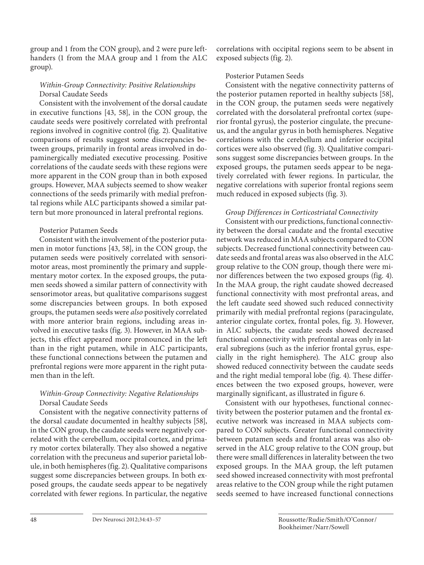group and 1 from the CON group), and 2 were pure lefthanders (1 from the MAA group and 1 from the ALC group).

# *Within-Group Connectivity: Positive Relationships*  Dorsal Caudate Seeds

 Consistent with the involvement of the dorsal caudate in executive functions  $[43, 58]$ , in the CON group, the caudate seeds were positively correlated with prefrontal regions involved in cognitive control (fig. 2). Qualitative comparisons of results suggest some discrepancies between groups, primarily in frontal areas involved in dopaminergically mediated executive processing. Positive correlations of the caudate seeds with these regions were more apparent in the CON group than in both exposed groups. However, MAA subjects seemed to show weaker connections of the seeds primarily with medial prefrontal regions while ALC participants showed a similar pattern but more pronounced in lateral prefrontal regions.

## Posterior Putamen Seeds

 Consistent with the involvement of the posterior putamen in motor functions [43, 58], in the CON group, the putamen seeds were positively correlated with sensorimotor areas, most prominently the primary and supplementary motor cortex. In the exposed groups, the putamen seeds showed a similar pattern of connectivity with sensorimotor areas, but qualitative comparisons suggest some discrepancies between groups. In both exposed groups, the putamen seeds were *also* positively correlated with more anterior brain regions, including areas involved in executive tasks (fig. 3). However, in MAA subjects, this effect appeared more pronounced in the left than in the right putamen, while in ALC participants, these functional connections between the putamen and prefrontal regions were more apparent in the right putamen than in the left.

# *Within-Group Connectivity: Negative Relationships*  Dorsal Caudate Seeds

 Consistent with the negative connectivity patterns of the dorsal caudate documented in healthy subjects [58], in the CON group, the caudate seeds were negatively correlated with the cerebellum, occipital cortex, and primary motor cortex bilaterally. They also showed a negative correlation with the precuneus and superior parietal lobule, in both hemispheres (fig. 2). Qualitative comparisons suggest some discrepancies between groups. In both exposed groups, the caudate seeds appear to be negatively correlated with fewer regions. In particular, the negative

correlations with occipital regions seem to be absent in exposed subjects (fig. 2).

# Posterior Putamen Seeds

 Consistent with the negative connectivity patterns of the posterior putamen reported in healthy subjects [58], in the CON group, the putamen seeds were negatively correlated with the dorsolateral prefrontal cortex (superior frontal gyrus), the posterior cingulate, the precuneus, and the angular gyrus in both hemispheres. Negative correlations with the cerebellum and inferior occipital cortices were also observed (fig. 3). Qualitative comparisons suggest some discrepancies between groups. In the exposed groups, the putamen seeds appear to be negatively correlated with fewer regions. In particular, the negative correlations with superior frontal regions seem much reduced in exposed subjects (fig. 3).

# *Group Differences in Corticostriatal Connectivity*

 Consistent with our predictions, functional connectivity between the dorsal caudate and the frontal executive network was reduced in MAA subjects compared to CON subjects. Decreased functional connectivity between caudate seeds and frontal areas was also observed in the ALC group relative to the CON group, though there were minor differences between the two exposed groups (fig. 4). In the MAA group, the right caudate showed decreased functional connectivity with most prefrontal areas, and the left caudate seed showed such reduced connectivity primarily with medial prefrontal regions (paracingulate, anterior cingulate cortex, frontal poles, fig. 3). However, in ALC subjects, the caudate seeds showed decreased functional connectivity with prefrontal areas only in lateral subregions (such as the inferior frontal gyrus, especially in the right hemisphere). The ALC group also showed reduced connectivity between the caudate seeds and the right medial temporal lobe (fig. 4). These differences between the two exposed groups, however, were marginally significant, as illustrated in figure 6.

 Consistent with our hypotheses, functional connectivity between the posterior putamen and the frontal executive network was increased in MAA subjects compared to CON subjects. Greater functional connectivity between putamen seeds and frontal areas was also observed in the ALC group relative to the CON group, but there were small differences in laterality between the two exposed groups. In the MAA group, the left putamen seed showed increased connectivity with most prefrontal areas relative to the CON group while the right putamen seeds seemed to have increased functional connections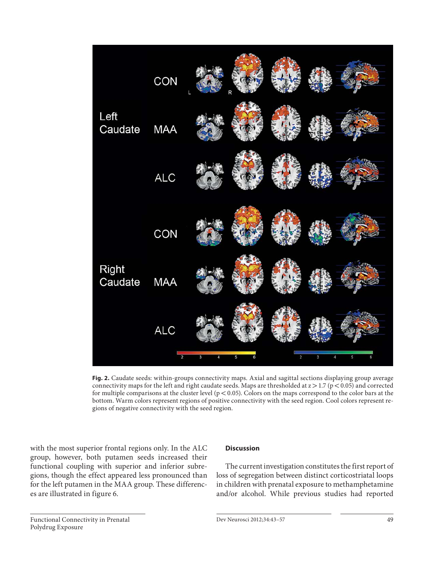

**Fig. 2.** Caudate seeds: within-groups connectivity maps. Axial and sagittal sections displaying group average connectivity maps for the left and right caudate seeds. Maps are thresholded at  $z > 1.7$  ( $p < 0.05$ ) and corrected for multiple comparisons at the cluster level ( $p < 0.05$ ). Colors on the maps correspond to the color bars at the bottom. Warm colors represent regions of positive connectivity with the seed region. Cool colors represent regions of negative connectivity with the seed region.

with the most superior frontal regions only. In the ALC group, however, both putamen seeds increased their functional coupling with superior and inferior subregions, though the effect appeared less pronounced than for the left putamen in the MAA group. These differences are illustrated in figure 6.

## **Discussion**

 The current investigation constitutes the first report of loss of segregation between distinct corticostriatal loops in children with prenatal exposure to methamphetamine and/or alcohol. While previous studies had reported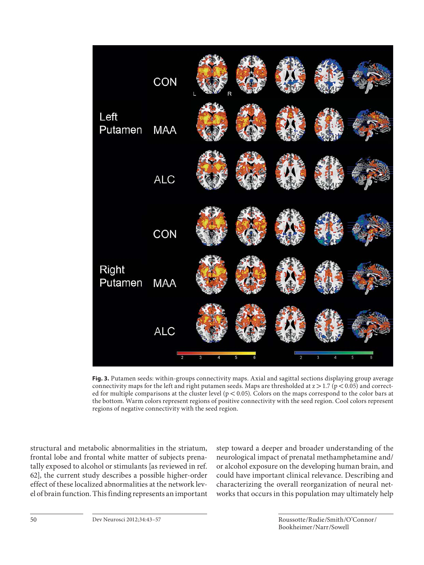

**Fig. 3.** Putamen seeds: within-groups connectivity maps. Axial and sagittal sections displaying group average connectivity maps for the left and right putamen seeds. Maps are thresholded at  $z > 1.7$  (p < 0.05) and corrected for multiple comparisons at the cluster level ( $p < 0.05$ ). Colors on the maps correspond to the color bars at the bottom. Warm colors represent regions of positive connectivity with the seed region. Cool colors represent regions of negative connectivity with the seed region.

structural and metabolic abnormalities in the striatum, frontal lobe and frontal white matter of subjects prenatally exposed to alcohol or stimulants [as reviewed in ref. 62], the current study describes a possible higher-order effect of these localized abnormalities at the network level of brain function. This finding represents an important step toward a deeper and broader understanding of the neurological impact of prenatal methamphetamine and/ or alcohol exposure on the developing human brain, and could have important clinical relevance. Describing and characterizing the overall reorganization of neural networks that occurs in this population may ultimately help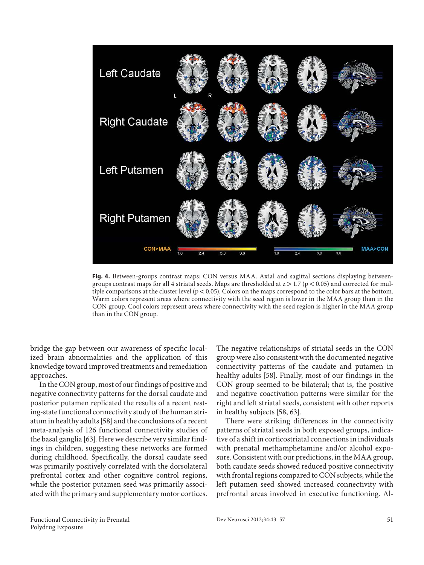

**Fig. 4.** Between-groups contrast maps: CON versus MAA. Axial and sagittal sections displaying betweengroups contrast maps for all 4 striatal seeds. Maps are thresholded at  $z > 1.7$  ( $p < 0.05$ ) and corrected for multiple comparisons at the cluster level ( $p < 0.05$ ). Colors on the maps correspond to the color bars at the bottom. Warm colors represent areas where connectivity with the seed region is lower in the MAA group than in the CON group. Cool colors represent areas where connectivity with the seed region is higher in the MAA group than in the CON group.

bridge the gap between our awareness of specific localized brain abnormalities and the application of this knowledge toward improved treatments and remediation approaches.

 In the CON group, most of our findings of positive and negative connectivity patterns for the dorsal caudate and posterior putamen replicated the results of a recent resting-state functional connectivity study of the human striatum in healthy adults [58] and the conclusions of a recent meta-analysis of 126 functional connectivity studies of the basal ganglia [63]. Here we describe very similar findings in children, suggesting these networks are formed during childhood. Specifically, the dorsal caudate seed was primarily positively correlated with the dorsolateral prefrontal cortex and other cognitive control regions, while the posterior putamen seed was primarily associated with the primary and supplementary motor cortices.

The negative relationships of striatal seeds in the CON group were also consistent with the documented negative connectivity patterns of the caudate and putamen in healthy adults [58]. Finally, most of our findings in the CON group seemed to be bilateral; that is, the positive and negative coactivation patterns were similar for the right and left striatal seeds, consistent with other reports in healthy subjects [58, 63].

 There were striking differences in the connectivity patterns of striatal seeds in both exposed groups, indicative of a shift in corticostriatal connections in individuals with prenatal methamphetamine and/or alcohol exposure. Consistent with our predictions, in the MAA group, both caudate seeds showed reduced positive connectivity with frontal regions compared to CON subjects, while the left putamen seed showed increased connectivity with prefrontal areas involved in executive functioning. Al-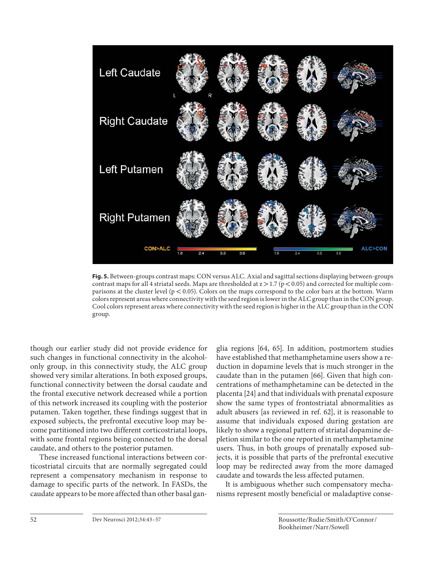

**Fig. 5.** Between-groups contrast maps: CON versus ALC. Axial and sagittal sections displaying between-groups contrast maps for all 4 striatal seeds. Maps are thresholded at  $z > 1.7$  (p < 0.05) and corrected for multiple comparisons at the cluster level ( $p < 0.05$ ). Colors on the maps correspond to the color bars at the bottom. Warm colors represent areas where connectivity with the seed region is lower in the ALC group than in the CON group. Cool colors represent areas where connectivity with the seed region is higher in the ALC group than in the CON group.

though our earlier study did not provide evidence for such changes in functional connectivity in the alcoholonly group, in this connectivity study, the ALC group showed very similar alterations. In both exposed groups, functional connectivity between the dorsal caudate and the frontal executive network decreased while a portion of this network increased its coupling with the posterior putamen. Taken together, these findings suggest that in exposed subjects, the prefrontal executive loop may become partitioned into two different corticostriatal loops, with some frontal regions being connected to the dorsal caudate, and others to the posterior putamen.

 These increased functional interactions between corticostriatal circuits that are normally segregated could represent a compensatory mechanism in response to damage to specific parts of the network. In FASDs, the caudate appears to be more affected than other basal ganglia regions [64, 65]. In addition, postmortem studies have established that methamphetamine users show a reduction in dopamine levels that is much stronger in the caudate than in the putamen [66]. Given that high concentrations of methamphetamine can be detected in the placenta [24] and that individuals with prenatal exposure show the same types of frontostriatal abnormalities as adult abusers [as reviewed in ref. 62], it is reasonable to assume that individuals exposed during gestation are likely to show a regional pattern of striatal dopamine depletion similar to the one reported in methamphetamine users. Thus, in both groups of prenatally exposed subjects, it is possible that parts of the prefrontal executive loop may be redirected away from the more damaged caudate and towards the less affected putamen.

 It is ambiguous whether such compensatory mechanisms represent mostly beneficial or maladaptive conse-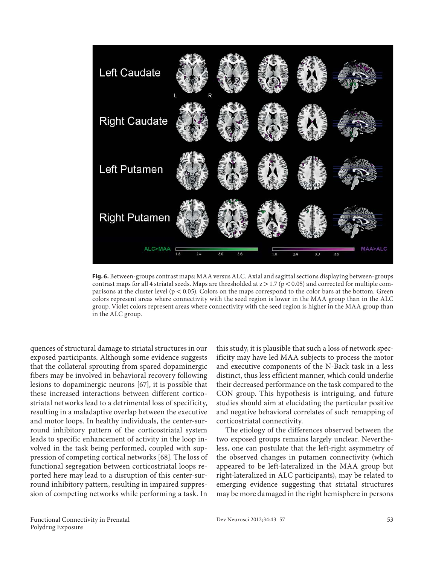

**Fig. 6.** Between-groups contrast maps: MAA versus ALC. Axial and sagittal sections displaying between-groups contrast maps for all 4 striatal seeds. Maps are thresholded at  $z > 1.7$  (p < 0.05) and corrected for multiple comparisons at the cluster level ( $p < 0.05$ ). Colors on the maps correspond to the color bars at the bottom. Green colors represent areas where connectivity with the seed region is lower in the MAA group than in the ALC group. Violet colors represent areas where connectivity with the seed region is higher in the MAA group than in the ALC group.

quences of structural damage to striatal structures in our exposed participants. Although some evidence suggests that the collateral sprouting from spared dopaminergic fibers may be involved in behavioral recovery following lesions to dopaminergic neurons [67], it is possible that these increased interactions between different corticostriatal networks lead to a detrimental loss of specificity, resulting in a maladaptive overlap between the executive and motor loops. In healthy individuals, the center-surround inhibitory pattern of the corticostriatal system leads to specific enhancement of activity in the loop involved in the task being performed, coupled with suppression of competing cortical networks [68]. The loss of functional segregation between corticostriatal loops reported here may lead to a disruption of this center-surround inhibitory pattern, resulting in impaired suppression of competing networks while performing a task. In

this study, it is plausible that such a loss of network specificity may have led MAA subjects to process the motor and executive components of the N-Back task in a less distinct, thus less efficient manner, which could underlie their decreased performance on the task compared to the CON group. This hypothesis is intriguing, and future studies should aim at elucidating the particular positive and negative behavioral correlates of such remapping of corticostriatal connectivity.

 The etiology of the differences observed between the two exposed groups remains largely unclear. Nevertheless, one can postulate that the left-right asymmetry of the observed changes in putamen connectivity (which appeared to be left-lateralized in the MAA group but right-lateralized in ALC participants), may be related to emerging evidence suggesting that striatal structures may be more damaged in the right hemisphere in persons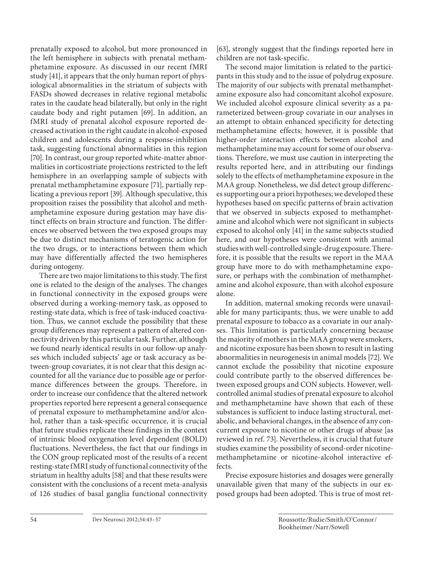prenatally exposed to alcohol, but more pronounced in the left hemisphere in subjects with prenatal methamphetamine exposure. As discussed in our recent fMRI study [41], it appears that the only human report of physiological abnormalities in the striatum of subjects with FASDs showed decreases in relative regional metabolic rates in the caudate head bilaterally, but only in the right caudate body and right putamen [69]. In addition, an fMRI study of prenatal alcohol exposure reported decreased activation in the right caudate in alcohol-exposed children and adolescents during a response-inhibition task, suggesting functional abnormalities in this region [70]. In contrast, our group reported white-matter abnormalities in corticostriate projections restricted to the left hemisphere in an overlapping sample of subjects with prenatal methamphetamine exposure [71], partially replicating a previous report [39] . Although speculative, this proposition raises the possibility that alcohol and methamphetamine exposure during gestation may have distinct effects on brain structure and function. The differences we observed between the two exposed groups may be due to distinct mechanisms of teratogenic action for the two drugs, or to interactions between them which may have differentially affected the two hemispheres during ontogeny.

 There are two major limitations to this study. The first one is related to the design of the analyses. The changes in functional connectivity in the exposed groups were observed during a working-memory task, as opposed to resting-state data, which is free of task-induced coactivation. Thus, we cannot exclude the possibility that these group differences may represent a pattern of altered connectivity driven by this particular task. Further, although we found nearly identical results in our follow-up analyses which included subjects' age or task accuracy as between-group covariates, it is not clear that this design accounted for all the variance due to possible age or performance differences between the groups. Therefore, in order to increase our confidence that the altered network properties reported here represent a general consequence of prenatal exposure to methamphetamine and/or alcohol, rather than a task-specific occurrence, it is crucial that future studies replicate these findings in the context of intrinsic blood oxygenation level dependent (BOLD) fluctuations. Nevertheless, the fact that our findings in the CON group replicated most of the results of a recent resting-state fMRI study of functional connectivity of the striatum in healthy adults [58] and that these results were consistent with the conclusions of a recent meta-analysis of 126 studies of basal ganglia functional connectivity

[63], strongly suggest that the findings reported here in children are not task-specific.

 The second major limitation is related to the participants in this study and to the issue of polydrug exposure. The majority of our subjects with prenatal methamphetamine exposure also had concomitant alcohol exposure. We included alcohol exposure clinical severity as a parameterized between-group covariate in our analyses in an attempt to obtain enhanced specificity for detecting methamphetamine effects; however, it is possible that higher-order interaction effects between alcohol and methamphetamine may account for some of our observations. Therefore, we must use caution in interpreting the results reported here, and in attributing our findings solely to the effects of methamphetamine exposure in the MAA group. Nonetheless, we did detect group differences supporting our a priori hypotheses; we developed these hypotheses based on specific patterns of brain activation that we observed in subjects exposed to methamphetamine and alcohol which were not significant in subjects exposed to alcohol only [41] in the same subjects studied here, and our hypotheses were consistent with animal studies with well-controlled single-drug exposure. Therefore, it is possible that the results we report in the MAA group have more to do with methamphetamine exposure, or perhaps with the combination of methamphetamine and alcohol exposure, than with alcohol exposure alone.

 In addition, maternal smoking records were unavailable for many participants; thus, we were unable to add prenatal exposure to tobacco as a covariate in our analyses. This limitation is particularly concerning because the majority of mothers in the MAA group were smokers, and nicotine exposure has been shown to result in lasting abnormalities in neurogenesis in animal models [72] . We cannot exclude the possibility that nicotine exposure could contribute partly to the observed differences between exposed groups and CON subjects. However, wellcontrolled animal studies of prenatal exposure to alcohol and methamphetamine have shown that each of these substances is sufficient to induce lasting structural, metabolic, and behavioral changes, in the absence of any concurrent exposure to nicotine or other drugs of abuse [as reviewed in ref. 73]. Nevertheless, it is crucial that future studies examine the possibility of second-order nicotinemethamphetamine or nicotine-alcohol interactive effects.

 Precise exposure histories and dosages were generally unavailable given that many of the subjects in our exposed groups had been adopted. This is true of most ret-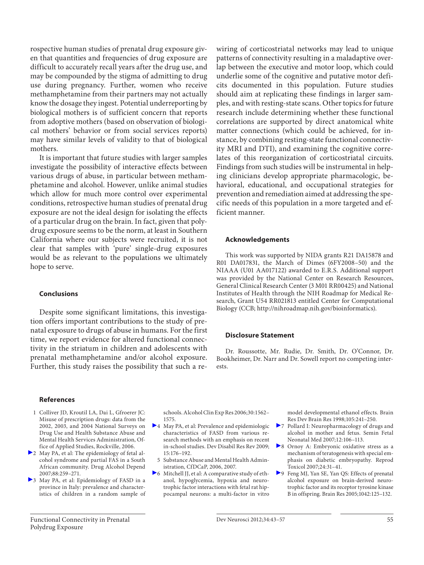rospective human studies of prenatal drug exposure given that quantities and frequencies of drug exposure are difficult to accurately recall years after the drug use, and may be compounded by the stigma of admitting to drug use during pregnancy. Further, women who receive methamphetamine from their partners may not actually know the dosage they ingest. Potential underreporting by biological mothers is of sufficient concern that reports from adoptive mothers (based on observation of biological mothers' behavior or from social services reports) may have similar levels of validity to that of biological mothers.

 It is important that future studies with larger samples investigate the possibility of interactive effects between various drugs of abuse, in particular between methamphetamine and alcohol. However, unlike animal studies which allow for much more control over experimental conditions, retrospective human studies of prenatal drug exposure are not the ideal design for isolating the effects of a particular drug on the brain. In fact, given that polydrug exposure seems to be the norm, at least in Southern California where our subjects were recruited, it is not clear that samples with 'pure' single-drug exposures would be as relevant to the populations we ultimately hope to serve.

## **Conclusions**

 Despite some significant limitations, this investigation offers important contributions to the study of prenatal exposure to drugs of abuse in humans. For the first time, we report evidence for altered functional connectivity in the striatum in children and adolescents with prenatal methamphetamine and/or alcohol exposure. Further, this study raises the possibility that such a rewiring of corticostriatal networks may lead to unique patterns of connectivity resulting in a maladaptive overlap between the executive and motor loop, which could underlie some of the cognitive and putative motor deficits documented in this population. Future studies should aim at replicating these findings in larger samples, and with resting-state scans. Other topics for future research include determining whether these functional correlations are supported by direct anatomical white matter connections (which could be achieved, for instance, by combining resting-state functional connectivity MRI and DTI), and examining the cognitive correlates of this reorganization of corticostriatal circuits. Findings from such studies will be instrumental in helping clinicians develop appropriate pharmacologic, behavioral, educational, and occupational strategies for prevention and remediation aimed at addressing the specific needs of this population in a more targeted and efficient manner.

#### **Acknowledgements**

 This work was supported by NIDA grants R21 DA15878 and R01 DA017831, the March of Dimes (6FY2008–50) and the NIAAA (U01 AA017122) awarded to E.R.S. Additional support was provided by the National Center on Research Resources, General Clinical Research Center (3 M01 RR00425) and National Institutes of Health through the NIH Roadmap for Medical Research, Grant U54 RR021813 entitled Center for Computational Biology (CCB; http://nihroadmap.nih.gov/bioinformatics).

#### **Disclosure Statement**

 Dr. Roussotte, Mr. Rudie, Dr. Smith, Dr. O'Connor, Dr. Bookheimer, Dr. Narr and Dr. Sowell report no competing interests.

## **References**

- 1 Colliver JD, Kroutil LA, Dai L, Gfroerer JC: Misuse of prescription drugs: data from the 2002, 2003, and 2004 National Surveys on Drug Use and Health Substance Abuse and Mental Health Services Administration, Office of Applied Studies, Rockville, 2006.
- 2 May PA, et al: The epidemiology of fetal alcohol syndrome and partial FAS in a South African community. Drug Alcohol Depend 2007;88:259–271.
- 3 May PA, et al: Epidemiology of FASD in a province in Italy: prevalence and characteristics of children in a random sample of

schools. Alcohol Clin Exp Res 2006;30:1562– 1575.

- 4 May PA, et al: Prevalence and epidemiologic characteristics of FASD from various research methods with an emphasis on recent in-school studies. Dev Disabil Res Rev 2009; 15:176–192.
- 5 Substance Abuse and Mental Health Administration, CfDCaP, 2006, 2007.
- 6 Mitchell JJ, et al: A comparative study of ethanol, hypoglycemia, hypoxia and neurotrophic factor interactions with fetal rat hippocampal neurons: a multi-factor in vitro

model developmental ethanol effects. Brain Res Dev Brain Res 1998;105:241–250.

- 7 Pollard I: Neuropharmacology of drugs and alcohol in mother and fetus. Semin Fetal Neonatal Med 2007;12:106–113.
- 8 Ornoy A: Embryonic oxidative stress as a mechanism of teratogenesis with special emphasis on diabetic embryopathy. Reprod Toxicol 2007;24:31–41.
- 9 Feng MJ, Yan SE, Yan QS: Effects of prenatal alcohol exposure on brain-derived neurotrophic factor and its receptor tyrosine kinase B in offspring. Brain Res 2005;1042:125–132.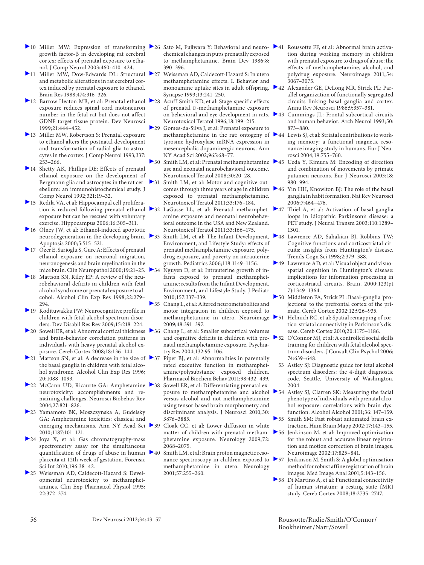- growth factor- $\beta$  in developing rat cerebral cortex: effects of prenatal exposure to ethanol. J Comp Neurol 2003;460: 410–424.
- $\triangleright$  11 Miller MW, Dow-Edwards DL: Structural  $\triangleright$  27 and metabolic alterations in rat cerebral cortex induced by prenatal exposure to ethanol. Brain Res 1988;474:316–326.
- 12 Barrow Heaton MB, et al: Prenatal ethanol 28 exposure reduces spinal cord motoneuron number in the fetal rat but does not affect GDNF target tissue protein. Dev Neurosci 1999;21:444–452.
- 13 Miller MW, Robertson S: Prenatal exposure to ethanol alters the postnatal development and transformation of radial glia to astrocytes in the cortex. J Comp Neurol 1993;337: 253–266.
- 14 Shetty AK, Phillips DE: Effects of prenatal ethanol exposure on the development of Bergmann glia and astrocytes in the rat cerebellum: an immunohistochemical study. J Comp Neurol 1992;321:19–32.
- 15 Redila VA, et al: Hippocampal cell proliferaexposure but can be rescued with voluntary exercise. Hippocampus 2006;16:305–311.
- 16 Olney JW, et al: Ethanol-induced apoptotic neurodegeneration in the developing brain. > 33 Apoptosis 2000;5:515–521.
- 17 Ozer E, Sarioglu S, Gure A: Effects of prenatal ethanol exposure on neuronal migration, neuronogenesis and brain myelination in the mice brain. Clin Neuropathol 2000;19:21–25.
- 18 Mattson SN, Riley EP: A review of the neurobehavioral deficits in children with fetal alcohol syndrome or prenatal exposure to alcohol. Alcohol Clin Exp Res 1998;22:279– 294.
- 19 Kodituwakku PW: Neurocognitive profile in children with fetal alcohol spectrum disorders. Dev Disabil Res Rev 2009;15:218–224.
- 20 Sowell ER, et al: Abnormal cortical thickness and brain-behavior correlation patterns in individuals with heavy prenatal alcohol exposure. Cereb Cortex 2008;18:136–144.
- $\geq$  21 Mattson SN, et al: A decrease in the size of  $\geq$  37 the basal ganglia in children with fetal alcohol syndrome. Alcohol Clin Exp Res 1996; 20:1088–1093.
- ▶ 22 McCann UD, Ricaurte GA: Amphetamine ▶ 38 neurotoxicity: accomplishments and remaining challenges. Neurosci Biobehav Rev 2004;27:821–826.
- 23 Yamamoto BK, Moszczynska A, Gudelsky GA: Amphetamine toxicities: classical and emerging mechanisms. Ann NY Acad Sci > 39 2010;1187:101–121.
- 24 Joya X, et al: Gas chromatography-mass spectrometry assay for the simultaneous quantification of drugs of abuse in human placenta at 12th week of gestation. Forensic Sci Int 2010;196:38–42.
- 25 Weissman AD, Caldecott-Hazard S: Developmental neurotoxicity to methamphetamines. Clin Exp Pharmacol Physiol 1995; 22:372–374.
- 10 Miller MW: Expression of transforming 26 Sato M, Fujiwara Y: Behavioral and neuro- 41 Roussotte FF, et al: Abnormal brain activachemical changes in pups prenatally exposed to methamphetamine. Brain Dev 1986;8: 390–396.
	- 27 Weissman AD, Caldecott-Hazard S: In utero methamphetamine effects. I. Behavior and Synapse 1993;13:241–250.
	- Acuff-Smith KD, et al: Stage-specific effects of prenatal D -methamphetamine exposure on behavioral and eye development in rats. Neurotoxicol Teratol 1996;18:199–215.
	- 29 Gomes-da-Silva J, et al: Prenatal exposure to tyrosine hydroxylase mRNA expression in mesencephalic dopaminergic neurons. Ann NY Acad Sci 2002;965:68–77.
	- $\geq$  30 Smith LM, et al: Prenatal methamphetamine  $\geq$  45 use and neonatal neurobehavioral outcome. Neurotoxicol Teratol 2008;30:20–28.
	- 31 Smith LM, et al: Motor and cognitive outexposed to prenatal methamphetamine. Neurotoxicol Teratol 2011;33:176–184.
	- tion is reduced following prenatal ethanol 32 LaGasse LL, et al: Prenatal methamphet- 47 Thiel A, et al: Activation of basal ganglia amine exposure and neonatal neurobehavioral outcome in the USA and New Zealand. Neurotoxicol Teratol 2011;33:166–175.
		- Environment, and Lifestyle Study: effects of prenatal methamphetamine exposure, polydrug exposure, and poverty on intrauterine growth. Pediatrics 2006;118:1149–1156.
		- 34 Nguyen D, et al: Intrauterine growth of infants exposed to prenatal methamphetamine: results from the Infant Development, Environment, and Lifestyle Study. J Pediatr 2010;157:337–339.
		- 35 Chang L, et al: Altered neurometabolites and motor integration in children exposed to methamphetamine in utero. Neuroimage 2009;48:391–397.
		- 36 Chang L, et al: Smaller subcortical volumes natal methamphetamine exposure. Psychiatry Res 2004;132:95–106.
		- Piper BJ, et al: Abnormalities in parentally rated executive function in methamphetamine/polysubstance exposed children. Pharmacol Biochem Behav 2011;98:432–439.
		- Sowell ER, et al: Differentiating prenatal exposure to methamphetamine and alcohol versus alcohol and not methamphetamine using tensor-based brain morphometry and discriminant analysis. J Neurosci 2010;30: 3876–3885.
		- Cloak CC, et al: Lower diffusion in white matter of children with prenatal methamphetamine exposure. Neurology 2009;72: 2068–2075.
		- Smith LM, et al: Brain proton magnetic resonance spectroscopy in children exposed to >57 methamphetamine in utero. Neurology 2001;57:255–260.
- tion during working memory in children with prenatal exposure to drugs of abuse: the effects of methamphetamine, alcohol, and polydrug exposure. Neuroimage 2011;54: 3067–3075.
- monoamine uptake sites in adult offspring. 42 Alexander GE, DeLong MR, Strick PL: Parallel organization of functionally segregated circuits linking basal ganglia and cortex. Annu Rev Neurosci 1986;9:357–381.
	- 43 Cummings JL: Frontal-subcortical circuits and human behavior. Arch Neurol 1993;50: 873–880.
- methamphetamine in the rat: ontogeny of  $\blacktriangleright$  44 Lewis SJ, et al: Striatal contributions to working memory: a functional magnetic resonance imaging study in humans. Eur J Neurosci 2004;19:755–760.
	- Ueda Y, Kimura M: Encoding of direction and combination of movements by primate putamen neurons. Eur J Neurosci 2003;18: 980–994.
- comes through three years of age in children 46 Yin HH, Knowlton BJ: The role of the basal ganglia in habit formation. Nat Rev Neurosci 2006;7:464–476.
	- loops in idiopathic Parkinson's disease: a PET study. J Neural Transm 2003;110:1289– 1301.
- 33 Smith LM, et al: The Infant Development, 48 Lawrence AD, Sahakian BJ, Robbins TW: Cognitive functions and corticostriatal circuits: insights from Huntington's disease. Trends Cogn Sci 1998;2:379–388.
	- 49 Lawrence AD, et al: Visual object and visuospatial cognition in Huntington's disease: implications for information processing in corticostriatal circuits. Brain, 2000;123(pt 7):1349–1364.
	- 50 Middleton FA, Strick PL: Basal-ganglia 'projections' to the prefrontal cortex of the primate. Cereb Cortex 2002;12:926–935.
	- 51 Helmich RC, et al: Spatial remapping of cortico-striatal connectivity in Parkinson's disease. Cereb Cortex 2010;20:1175–1186.
	- and cognitive deficits in children with pre- 52 O'Connor MJ, et al: A controlled social skills training for children with fetal alcohol spectrum disorders. J Consult Clin Psychol 2006; 74:639–648.
		- 53 Astley SJ: Diagnostic guide for fetal alcohol spectrum disorders: the 4-digit diagnostic code. Seattle, University of Washington, 2004.
		- 54 Astley SJ, Clarren SK: Measuring the facial phenotype of individuals with prenatal alcohol exposure: correlations with brain dysfunction. Alcohol Alcohol 2001;36: 147–159. 55 Smith SM: Fast robust automated brain ex-
		- traction. Hum Brain Mapp 2002;17:143–155.
		- 56 Jenkinson M, et al: Improved optimization for the robust and accurate linear registration and motion correction of brain images. Neuroimage 2002;17:825–841.
			- Jenkinson M, Smith S: A global optimisation method for robust affine registration of brain images. Med Image Anal 2001;5:143–156.
		- 58 Di Martino A, et al: Functional connectivity of human striatum: a resting state fMRI study. Cereb Cortex 2008;18:2735–2747.